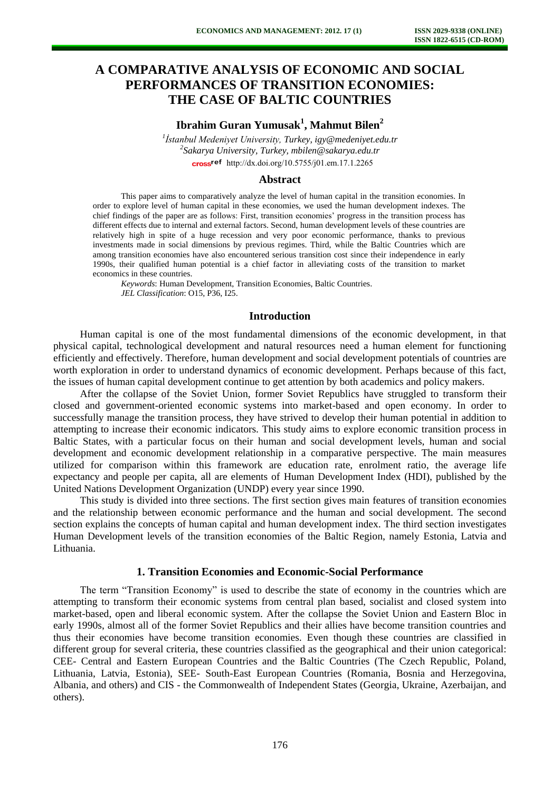# **A COMPARATIVE ANALYSIS OF ECONOMIC AND SOCIAL PERFORMANCES OF TRANSITION ECONOMIES: THE CASE OF BALTIC COUNTRIES**

## **Ibrahim Guran Yumusak<sup>1</sup> , Mahmut Bilen<sup>2</sup>**

*1 İstanbul Medeniyet University, Turkey, igy@medeniyet.edu.tr 2 Sakarya University, Turkey, mbilen@sakarya.edu.tr* cross<sup>ref</sup> [http://dx.doi.org/10.5755/j01.e](http://dx.doi.org/10.5755/j01.em.17.1.2265)m.17.1.2265

#### **Abstract**

This paper aims to comparatively analyze the level of human capital in the transition economies. In order to explore level of human capital in these economies, we used the human development indexes. The chief findings of the paper are as follows: First, transition economies' progress in the transition process has different effects due to internal and external factors. Second, human development levels of these countries are relatively high in spite of a huge recession and very poor economic performance, thanks to previous investments made in social dimensions by previous regimes. Third, while the Baltic Countries which are among transition economies have also encountered serious transition cost since their independence in early 1990s, their qualified human potential is a chief factor in alleviating costs of the transition to market economics in these countries.

*Keywords*: Human Development, Transition Economies, Baltic Countries. *JEL Classification*: O15, P36, I25.

### **Introduction**

Human capital is one of the most fundamental dimensions of the economic development, in that physical capital, technological development and natural resources need a human element for functioning efficiently and effectively. Therefore, human development and social development potentials of countries are worth exploration in order to understand dynamics of economic development. Perhaps because of this fact, the issues of human capital development continue to get attention by both academics and policy makers.

After the collapse of the Soviet Union, former Soviet Republics have struggled to transform their closed and government-oriented economic systems into market-based and open economy. In order to successfully manage the transition process, they have strived to develop their human potential in addition to attempting to increase their economic indicators. This study aims to explore economic transition process in Baltic States, with a particular focus on their human and social development levels, human and social development and economic development relationship in a comparative perspective. The main measures utilized for comparison within this framework are education rate, enrolment ratio, the average life expectancy and people per capita, all are elements of Human Development Index (HDI), published by the United Nations Development Organization (UNDP) every year since 1990.

This study is divided into three sections. The first section gives main features of transition economies and the relationship between economic performance and the human and social development. The second section explains the concepts of human capital and human development index. The third section investigates Human Development levels of the transition economies of the Baltic Region, namely Estonia, Latvia and Lithuania.

### **1. Transition Economies and Economic-Social Performance**

The term "Transition Economy" is used to describe the state of economy in the countries which are attempting to transform their economic systems from central plan based, socialist and closed system into market-based, open and liberal economic system. After the collapse the Soviet Union and Eastern Bloc in early 1990s, almost all of the former Soviet Republics and their allies have become transition countries and thus their economies have become transition economies. Even though these countries are classified in different group for several criteria, these countries classified as the geographical and their union categorical: CEE- Central and Eastern European Countries and the Baltic Countries (The Czech Republic, Poland, Lithuania, Latvia, Estonia), SEE- South-East European Countries (Romania, Bosnia and Herzegovina, Albania, and others) and CIS - the Commonwealth of Independent States (Georgia, Ukraine, Azerbaijan, and others).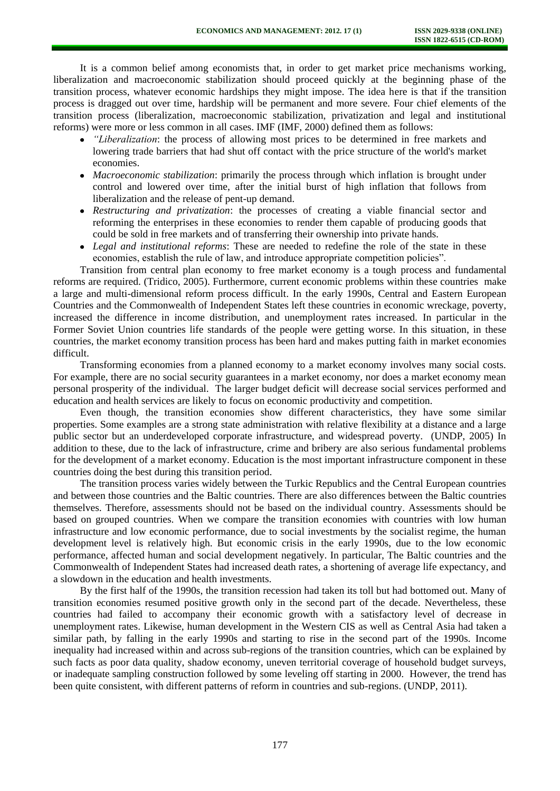It is a common belief among economists that, in order to get market price mechanisms working, liberalization and macroeconomic stabilization should proceed quickly at the beginning phase of the transition process, whatever economic hardships they might impose. The idea here is that if the transition process is dragged out over time, hardship will be permanent and more severe. Four chief elements of the transition process (liberalization, macroeconomic stabilization, privatization and legal and institutional reforms) were more or less common in all cases. IMF (IMF, 2000) defined them as follows:

- *"Liberalization*: the process of allowing most prices to be determined in free markets and lowering trade barriers that had shut off contact with the price structure of the world's market economies.
- *Macroeconomic stabilization*: primarily the process through which inflation is brought under control and lowered over time, after the initial burst of high inflation that follows from liberalization and the release of pent-up demand.
- *Restructuring and privatization*: the processes of creating a viable financial sector and reforming the enterprises in these economies to render them capable of producing goods that could be sold in free markets and of transferring their ownership into private hands.
- *Legal and institutional reforms*: These are needed to redefine the role of the state in these economies, establish the rule of law, and introduce appropriate competition policies".

Transition from central plan economy to free market economy is a tough process and fundamental reforms are required. (Tridico, 2005). Furthermore, current economic problems within these countries make a large and multi-dimensional reform process difficult. In the early 1990s, Central and Eastern European Countries and the Commonwealth of Independent States left these countries in economic wreckage, poverty, increased the difference in income distribution, and unemployment rates increased. In particular in the Former Soviet Union countries life standards of the people were getting worse. In this situation, in these countries, the market economy transition process has been hard and makes putting faith in market economies difficult.

Transforming economies from a planned economy to a market economy involves many social costs. For example, there are no social security guarantees in a market economy, nor does a market economy mean personal prosperity of the individual. The larger budget deficit will decrease social services performed and education and health services are likely to focus on economic productivity and competition.

Even though, the transition economies show different characteristics, they have some similar properties. Some examples are a strong state administration with relative flexibility at a distance and a large public sector but an underdeveloped corporate infrastructure, and widespread poverty. (UNDP, 2005) In addition to these, due to the lack of infrastructure, crime and bribery are also serious fundamental problems for the development of a market economy. Education is the most important infrastructure component in these countries doing the best during this transition period.

The transition process varies widely between the Turkic Republics and the Central European countries and between those countries and the Baltic countries. There are also differences between the Baltic countries themselves. Therefore, assessments should not be based on the individual country. Assessments should be based on grouped countries. When we compare the transition economies with countries with low human infrastructure and low economic performance, due to social investments by the socialist regime, the human development level is relatively high. But economic crisis in the early 1990s, due to the low economic performance, affected human and social development negatively. In particular, The Baltic countries and the Commonwealth of Independent States had increased death rates, a shortening of average life expectancy, and a slowdown in the education and health investments.

By the first half of the 1990s, the transition recession had taken its toll but had bottomed out. Many of transition economies resumed positive growth only in the second part of the decade. Nevertheless, these countries had failed to accompany their economic growth with a satisfactory level of decrease in unemployment rates. Likewise, human development in the Western CIS as well as Central Asia had taken a similar path, by falling in the early 1990s and starting to rise in the second part of the 1990s. Income inequality had increased within and across sub-regions of the transition countries, which can be explained by such facts as poor data quality, shadow economy, uneven territorial coverage of household budget surveys, or inadequate sampling construction followed by some leveling off starting in 2000. However, the trend has been quite consistent, with different patterns of reform in countries and sub-regions. (UNDP, 2011).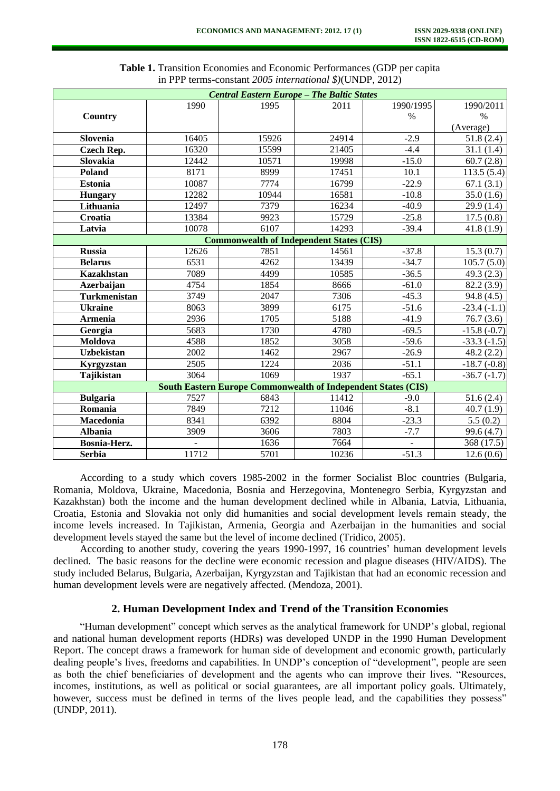| <b>Central Eastern Europe - The Baltic States</b>                    |       |       |       |           |                        |  |  |  |  |  |  |  |
|----------------------------------------------------------------------|-------|-------|-------|-----------|------------------------|--|--|--|--|--|--|--|
|                                                                      | 1990  | 1995  | 2011  | 1990/1995 | 1990/2011              |  |  |  |  |  |  |  |
| Country                                                              |       |       |       | $\%$      | $\%$                   |  |  |  |  |  |  |  |
|                                                                      |       |       |       |           | (Average)              |  |  |  |  |  |  |  |
| Slovenia                                                             | 16405 | 15926 | 24914 | $-2.9$    | 51.8(2.4)              |  |  |  |  |  |  |  |
| <b>Czech Rep.</b>                                                    | 16320 | 15599 | 21405 | $-4.4$    | 31.1(1.4)              |  |  |  |  |  |  |  |
| Slovakia                                                             | 12442 | 10571 | 19998 | $-15.0$   | 60.7(2.8)              |  |  |  |  |  |  |  |
| Poland                                                               | 8171  | 8999  | 17451 | 10.1      | 113.5(5.4)             |  |  |  |  |  |  |  |
| <b>Estonia</b>                                                       | 10087 | 7774  | 16799 | $-22.9$   | 67.1(3.1)              |  |  |  |  |  |  |  |
| <b>Hungary</b>                                                       | 12282 | 10944 | 16581 | $-10.8$   | 35.0(1.6)              |  |  |  |  |  |  |  |
| Lithuania                                                            | 12497 | 7379  | 16234 | $-40.9$   | 29.9(1.4)              |  |  |  |  |  |  |  |
| Croatia                                                              | 13384 | 9923  | 15729 | $-25.8$   | 17.5(0.8)              |  |  |  |  |  |  |  |
| Latvia                                                               | 10078 | 6107  | 14293 | $-39.4$   | 41.8(1.9)              |  |  |  |  |  |  |  |
| <b>Commonwealth of Independent States (CIS)</b>                      |       |       |       |           |                        |  |  |  |  |  |  |  |
| <b>Russia</b>                                                        | 12626 | 7851  | 14561 | $-37.8$   | 15.3(0.7)              |  |  |  |  |  |  |  |
| <b>Belarus</b>                                                       | 6531  | 4262  | 13439 | $-34.7$   | 105.7(5.0)             |  |  |  |  |  |  |  |
| <b>Kazakhstan</b>                                                    | 7089  | 4499  | 10585 | $-36.5$   | 49.3 $(2.3)$           |  |  |  |  |  |  |  |
| Azerbaijan                                                           | 4754  | 1854  | 8666  | $-61.0$   | 82.2 (3.9)             |  |  |  |  |  |  |  |
| <b>Turkmenistan</b>                                                  | 3749  | 2047  | 7306  | $-45.3$   | $\overline{9}4.8(4.5)$ |  |  |  |  |  |  |  |
| <b>Ukraine</b>                                                       | 8063  | 3899  | 6175  | $-51.6$   | $-23.4(-1.1)$          |  |  |  |  |  |  |  |
| <b>Armenia</b>                                                       | 2936  | 1705  | 5188  | $-41.9$   | 76.7(3.6)              |  |  |  |  |  |  |  |
| Georgia                                                              | 5683  | 1730  | 4780  | $-69.5$   | $-15.8(-0.7)$          |  |  |  |  |  |  |  |
| Moldova                                                              | 4588  | 1852  | 3058  | $-59.6$   | $-33.3(-1.5)$          |  |  |  |  |  |  |  |
| <b>Uzbekistan</b>                                                    | 2002  | 1462  | 2967  | $-26.9$   | 48.2(2.2)              |  |  |  |  |  |  |  |
| Kyrgyzstan                                                           | 2505  | 1224  | 2036  | $-51.1$   | $-18.7(-0.8)$          |  |  |  |  |  |  |  |
| Tajikistan                                                           | 3064  | 1069  | 1937  | $-65.1$   | $-36.7(-1.7)$          |  |  |  |  |  |  |  |
| <b>South Eastern Europe Commonwealth of Independent States (CIS)</b> |       |       |       |           |                        |  |  |  |  |  |  |  |
| <b>Bulgaria</b>                                                      | 7527  | 6843  | 11412 | $-9.0$    | 51.6(2.4)              |  |  |  |  |  |  |  |
| Romania                                                              | 7849  | 7212  | 11046 | $-8.1$    | 40.7(1.9)              |  |  |  |  |  |  |  |
| Macedonia                                                            | 8341  | 6392  | 8804  | $-23.3$   | 5.5(0.2)               |  |  |  |  |  |  |  |
| <b>Albania</b>                                                       | 3909  | 3606  | 7803  | $-7.7$    | 99.6(4.7)              |  |  |  |  |  |  |  |
| Bosnia-Herz.                                                         |       | 1636  | 7664  |           | 368 (17.5)             |  |  |  |  |  |  |  |
| <b>Serbia</b>                                                        | 11712 | 5701  | 10236 | $-51.3$   | 12.6(0.6)              |  |  |  |  |  |  |  |

**Table 1.** Transition Economies and Economic Performances (GDP per capita in PPP terms-constant *2005 international \$)*(UNDP, 2012)

According to a study which covers 1985-2002 in the former Socialist Bloc countries (Bulgaria, Romania, Moldova, Ukraine, Macedonia, Bosnia and Herzegovina, Montenegro Serbia, Kyrgyzstan and Kazakhstan) both the income and the human development declined while in Albania, Latvia, Lithuania, Croatia, Estonia and Slovakia not only did humanities and social development levels remain steady, the income levels increased. In Tajikistan, Armenia, Georgia and Azerbaijan in the humanities and social development levels stayed the same but the level of income declined (Tridico, 2005).

According to another study, covering the years 1990-1997, 16 countries' human development levels declined. The basic reasons for the decline were economic recession and plague diseases (HIV/AIDS). The study included Belarus, Bulgaria, Azerbaijan, Kyrgyzstan and Tajikistan that had an economic recession and human development levels were are negatively affected. (Mendoza, 2001).

## **2. Human Development Index and Trend of the Transition Economies**

"Human development" concept which serves as the analytical framework for UNDP's global, regional and national human development reports (HDRs) was developed UNDP in the 1990 Human Development Report. The concept draws a framework for human side of development and economic growth, particularly dealing people's lives, freedoms and capabilities. In UNDP's conception of "development", people are seen as both the chief beneficiaries of development and the agents who can improve their lives. "Resources, incomes, institutions, as well as political or social guarantees, are all important policy goals. Ultimately, however, success must be defined in terms of the lives people lead, and the capabilities they possess" (UNDP, 2011).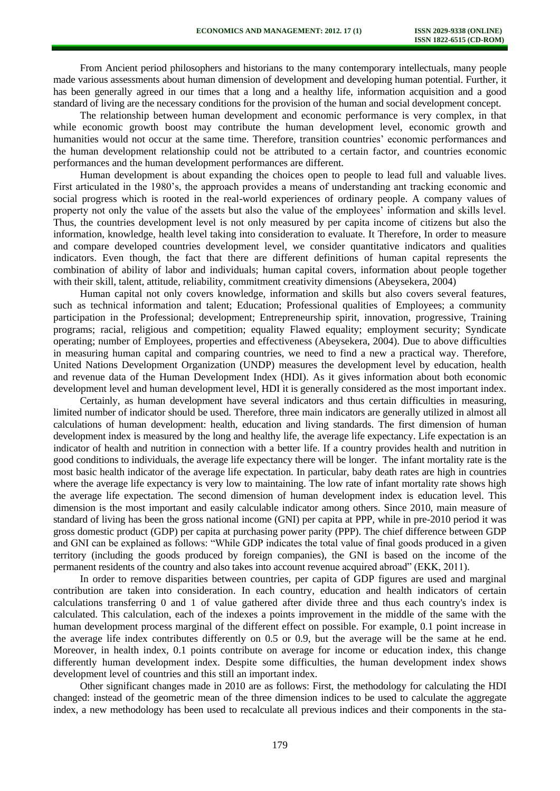From Ancient period philosophers and historians to the many contemporary intellectuals, many people made various assessments about human dimension of development and developing human potential. Further, it has been generally agreed in our times that a long and a healthy life, information acquisition and a good standard of living are the necessary conditions for the provision of the human and social development concept.

The relationship between human development and economic performance is very complex, in that while economic growth boost may contribute the human development level, economic growth and humanities would not occur at the same time. Therefore, transition countries' economic performances and the human development relationship could not be attributed to a certain factor, and countries economic performances and the human development performances are different.

Human development is about expanding the choices open to people to lead full and valuable lives. First articulated in the 1980's, the approach provides a means of understanding ant tracking economic and social progress which is rooted in the real-world experiences of ordinary people. A company values of property not only the value of the assets but also the value of the employees' information and skills level. Thus, the countries development level is not only measured by per capita income of citizens but also the information, knowledge, health level taking into consideration to evaluate. It Therefore, In order to measure and compare developed countries development level, we consider quantitative indicators and qualities indicators. Even though, the fact that there are different definitions of human capital represents the combination of ability of labor and individuals; human capital covers, information about people together with their skill, talent, attitude, reliability, commitment creativity dimensions (Abeysekera, 2004)

Human capital not only covers knowledge, information and skills but also covers several features, such as technical information and talent; Education; Professional qualities of Employees; a community participation in the Professional; development; Entrepreneurship spirit, innovation, progressive, Training programs; racial, religious and competition; equality Flawed equality; employment security; Syndicate operating; number of Employees, properties and effectiveness (Abeysekera, 2004). Due to above difficulties in measuring human capital and comparing countries, we need to find a new a practical way. Therefore, United Nations Development Organization (UNDP) measures the development level by education, health and revenue data of the Human Development Index (HDI). As it gives information about both economic development level and human development level, HDI it is generally considered as the most important index.

Certainly, as human development have several indicators and thus certain difficulties in measuring, limited number of indicator should be used. Therefore, three main indicators are generally utilized in almost all calculations of human development: health, education and living standards. The first dimension of human development index is measured by the long and healthy life, the average life expectancy. Life expectation is an indicator of health and nutrition in connection with a better life. If a country provides health and nutrition in good conditions to individuals, the average life expectancy there will be longer. The infant mortality rate is the most basic health indicator of the average life expectation. In particular, baby death rates are high in countries where the average life expectancy is very low to maintaining. The low rate of infant mortality rate shows high the average life expectation. The second dimension of human development index is education level. This dimension is the most important and easily calculable indicator among others. Since 2010, main measure of standard of living has been the gross national income (GNI) per capita at PPP, while in pre-2010 period it was gross domestic product (GDP) per capita at purchasing power parity (PPP). The chief difference between GDP and GNI can be explained as follows: "While GDP indicates the total value of final goods produced in a given territory (including the goods produced by foreign companies), the GNI is based on the income of the permanent residents of the country and also takes into account revenue acquired abroad" (EKK, 2011).

In order to remove disparities between countries, per capita of GDP figures are used and marginal contribution are taken into consideration. In each country, education and health indicators of certain calculations transferring 0 and 1 of value gathered after divide three and thus each country's index is calculated. This calculation, each of the indexes a points improvement in the middle of the same with the human development process marginal of the different effect on possible. For example, 0.1 point increase in the average life index contributes differently on 0.5 or 0.9, but the average will be the same at he end. Moreover, in health index, 0.1 points contribute on average for income or education index, this change differently human development index. Despite some difficulties, the human development index shows development level of countries and this still an important index.

Other significant changes made in 2010 are as follows: First, the methodology for calculating the HDI changed: instead of the geometric mean of the three dimension indices to be used to calculate the aggregate index, a new methodology has been used to recalculate all previous indices and their components in the sta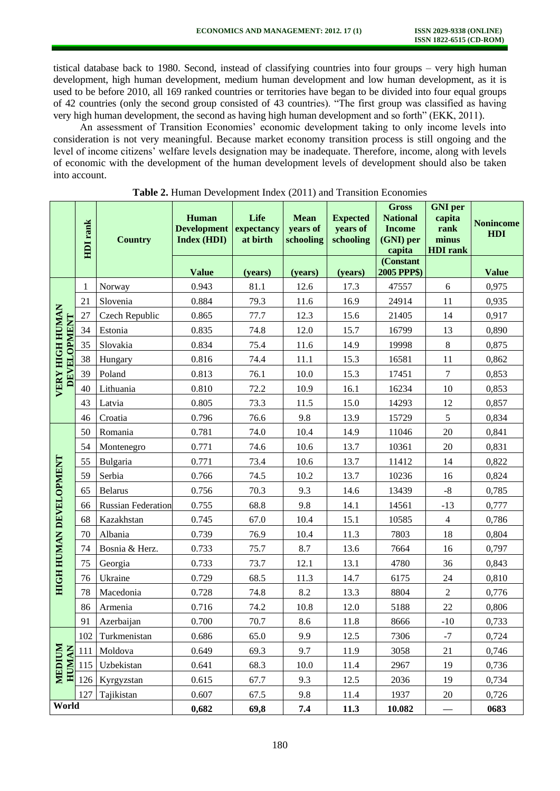tistical database back to 1980. Second, instead of classifying countries into four groups – very high human development, high human development, medium human development and low human development, as it is used to be before 2010, all 169 ranked countries or territories have began to be divided into four equal groups of 42 countries (only the second group consisted of 43 countries). "The first group was classified as having very high human development, the second as having high human development and so forth" (EKK, 2011).

An assessment of Transition Economies' economic development taking to only income levels into consideration is not very meaningful. Because market economy transition process is still ongoing and the level of income citizens' welfare levels designation may be inadequate. Therefore, income, along with levels of economic with the development of the human development levels of development should also be taken into account.

|                                       | HDI rank | <b>Country</b>            | Human<br><b>Development</b><br><b>Index (HDI)</b> | Life<br>expectancy<br>at birth | <b>Mean</b><br>years of<br>schooling | <b>Expected</b><br>years of<br>schooling | <b>Gross</b><br><b>National</b><br><b>Income</b><br>(GNI) per<br>capita | <b>GNI</b> per<br>capita<br>rank<br>minus<br><b>HDI</b> rank | <b>Nonincome</b><br>HDI |
|---------------------------------------|----------|---------------------------|---------------------------------------------------|--------------------------------|--------------------------------------|------------------------------------------|-------------------------------------------------------------------------|--------------------------------------------------------------|-------------------------|
|                                       |          |                           | <b>Value</b>                                      | (years)                        | (years)                              | (years)                                  | (Constant<br>2005 PPP\$)                                                |                                                              | <b>Value</b>            |
| VERY HIGH HUMAN<br><b>DEVELOPMENT</b> | 1        | Norway                    | 0.943                                             | 81.1                           | 12.6                                 | 17.3                                     | 47557                                                                   | 6                                                            | 0,975                   |
|                                       | 21       | Slovenia                  | 0.884                                             | 79.3                           | 11.6                                 | 16.9                                     | 24914                                                                   | 11                                                           | 0,935                   |
|                                       | 27       | Czech Republic            | 0.865                                             | 77.7                           | 12.3                                 | 15.6                                     | 21405                                                                   | 14                                                           | 0,917                   |
|                                       | 34       | Estonia                   | 0.835                                             | 74.8                           | 12.0                                 | 15.7                                     | 16799                                                                   | 13                                                           | 0,890                   |
|                                       | 35       | Slovakia                  | 0.834                                             | 75.4                           | 11.6                                 | 14.9                                     | 19998                                                                   | $8\phantom{.0}$                                              | 0,875                   |
|                                       | 38       | Hungary                   | 0.816                                             | 74.4                           | 11.1                                 | 15.3                                     | 16581                                                                   | 11                                                           | 0,862                   |
|                                       | 39       | Poland                    | 0.813                                             | 76.1                           | 10.0                                 | 15.3                                     | 17451                                                                   | $7\phantom{.0}$                                              | 0,853                   |
|                                       | 40       | Lithuania                 | 0.810                                             | 72.2                           | 10.9                                 | 16.1                                     | 16234                                                                   | 10                                                           | 0,853                   |
|                                       | 43       | Latvia                    | 0.805                                             | 73.3                           | 11.5                                 | 15.0                                     | 14293                                                                   | 12                                                           | 0,857                   |
|                                       | 46       | Croatia                   | 0.796                                             | 76.6                           | 9.8                                  | 13.9                                     | 15729                                                                   | 5                                                            | 0,834                   |
| HIGH HUMAN DEVELOPMENT                | 50       | Romania                   | 0.781                                             | 74.0                           | 10.4                                 | 14.9                                     | 11046                                                                   | 20                                                           | 0,841                   |
|                                       | 54       | Montenegro                | 0.771                                             | 74.6                           | 10.6                                 | 13.7                                     | 10361                                                                   | 20                                                           | 0,831                   |
|                                       | 55       | Bulgaria                  | 0.771                                             | 73.4                           | 10.6                                 | 13.7                                     | 11412                                                                   | 14                                                           | 0,822                   |
|                                       | 59       | Serbia                    | 0.766                                             | 74.5                           | 10.2                                 | 13.7                                     | 10236                                                                   | 16                                                           | 0,824                   |
|                                       | 65       | <b>Belarus</b>            | 0.756                                             | 70.3                           | 9.3                                  | 14.6                                     | 13439                                                                   | $\mbox{-}8$                                                  | 0,785                   |
|                                       | 66       | <b>Russian Federation</b> | 0.755                                             | 68.8                           | 9.8                                  | 14.1                                     | 14561                                                                   | $-13$                                                        | 0,777                   |
|                                       | 68       | Kazakhstan                | 0.745                                             | 67.0                           | 10.4                                 | 15.1                                     | 10585                                                                   | $\overline{4}$                                               | 0,786                   |
|                                       | 70       | Albania                   | 0.739                                             | 76.9                           | 10.4                                 | 11.3                                     | 7803                                                                    | 18                                                           | 0,804                   |
|                                       | 74       | Bosnia & Herz.            | 0.733                                             | 75.7                           | 8.7                                  | 13.6                                     | 7664                                                                    | 16                                                           | 0,797                   |
|                                       | 75       | Georgia                   | 0.733                                             | 73.7                           | 12.1                                 | 13.1                                     | 4780                                                                    | 36                                                           | 0,843                   |
|                                       | 76       | Ukraine                   | 0.729                                             | 68.5                           | 11.3                                 | 14.7                                     | 6175                                                                    | 24                                                           | 0,810                   |
|                                       | 78       | Macedonia                 | 0.728                                             | 74.8                           | 8.2                                  | 13.3                                     | 8804                                                                    | $\mathfrak{2}$                                               | 0,776                   |
|                                       | 86       | Armenia                   | 0.716                                             | 74.2                           | 10.8                                 | 12.0                                     | 5188                                                                    | 22                                                           | 0,806                   |
|                                       | 91       | Azerbaijan                | 0.700                                             | 70.7                           | 8.6                                  | 11.8                                     | 8666                                                                    | $-10$                                                        | 0,733                   |
| MEDIUM<br><b>HUMAN</b>                |          | 102 Turkmenistan          | 0.686                                             | 65.0                           | 9.9                                  | 12.5                                     | 7306                                                                    | $-7$                                                         | 0,724                   |
|                                       |          | 111 Moldova               | 0.649                                             | 69.3                           | 9.7                                  | 11.9                                     | 3058                                                                    | 21                                                           | 0,746                   |
|                                       | 115      | Uzbekistan                | 0.641                                             | 68.3                           | 10.0                                 | 11.4                                     | 2967                                                                    | 19                                                           | 0,736                   |
|                                       |          | 126 Kyrgyzstan            | 0.615                                             | 67.7                           | 9.3                                  | 12.5                                     | 2036                                                                    | 19                                                           | 0,734                   |
|                                       |          | 127 Tajikistan            | 0.607                                             | 67.5                           | 9.8                                  | 11.4                                     | 1937                                                                    | 20                                                           | 0,726                   |
| World                                 |          | 0,682                     | 69,8                                              | 7.4                            | 11.3                                 | 10.082                                   |                                                                         | 0683                                                         |                         |

**Table 2.** Human Development Index (2011) and Transition Economies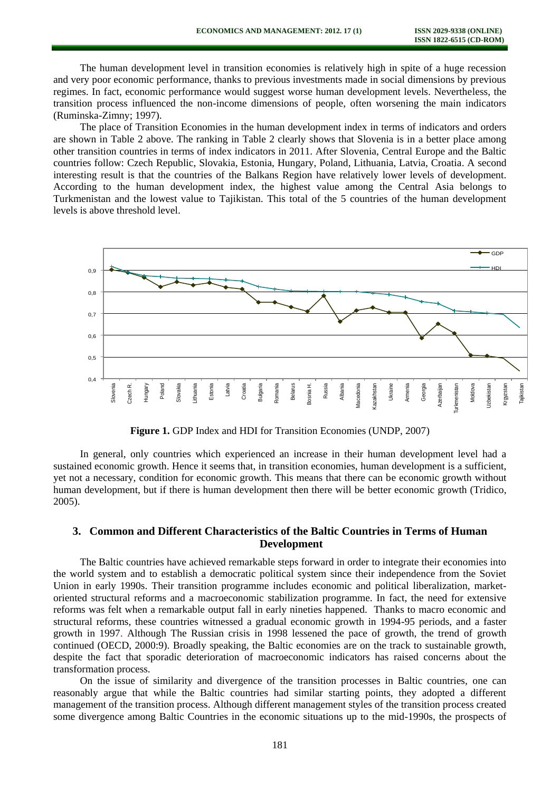The human development level in transition economies is relatively high in spite of a huge recession and very poor economic performance, thanks to previous investments made in social dimensions by previous regimes. In fact, economic performance would suggest worse human development levels. Nevertheless, the transition process influenced the non-income dimensions of people, often worsening the main indicators (Ruminska-Zimny; 1997).

The place of Transition Economies in the human development index in terms of indicators and orders are shown in Table 2 above. The ranking in Table 2 clearly shows that Slovenia is in a better place among other transition countries in terms of index indicators in 2011. After Slovenia, Central Europe and the Baltic countries follow: Czech Republic, Slovakia, Estonia, Hungary, Poland, Lithuania, Latvia, Croatia. A second interesting result is that the countries of the Balkans Region have relatively lower levels of development. According to the human development index, the highest value among the Central Asia belongs to Turkmenistan and the lowest value to Tajikistan. This total of the 5 countries of the human development levels is above threshold level.



**Figure 1.** GDP Index and HDI for Transition Economies (UNDP, 2007)

In general, only countries which experienced an increase in their human development level had a sustained economic growth. Hence it seems that, in transition economies, human development is a sufficient, yet not a necessary, condition for economic growth. This means that there can be economic growth without human development, but if there is human development then there will be better economic growth (Tridico, 2005).

## **3. Common and Different Characteristics of the Baltic Countries in Terms of Human Development**

The Baltic countries have achieved remarkable steps forward in order to integrate their economies into the world system and to establish a democratic political system since their independence from the Soviet Union in early 1990s. Their transition programme includes economic and political liberalization, marketoriented structural reforms and a macroeconomic stabilization programme. In fact, the need for extensive reforms was felt when a remarkable output fall in early nineties happened. Thanks to macro economic and structural reforms, these countries witnessed a gradual economic growth in 1994-95 periods, and a faster growth in 1997. Although The Russian crisis in 1998 lessened the pace of growth, the trend of growth continued (OECD, 2000:9). Broadly speaking, the Baltic economies are on the track to sustainable growth, despite the fact that sporadic deterioration of macroeconomic indicators has raised concerns about the transformation process.

On the issue of similarity and divergence of the transition processes in Baltic countries, one can reasonably argue that while the Baltic countries had similar starting points, they adopted a different management of the transition process. Although different management styles of the transition process created some divergence among Baltic Countries in the economic situations up to the mid-1990s, the prospects of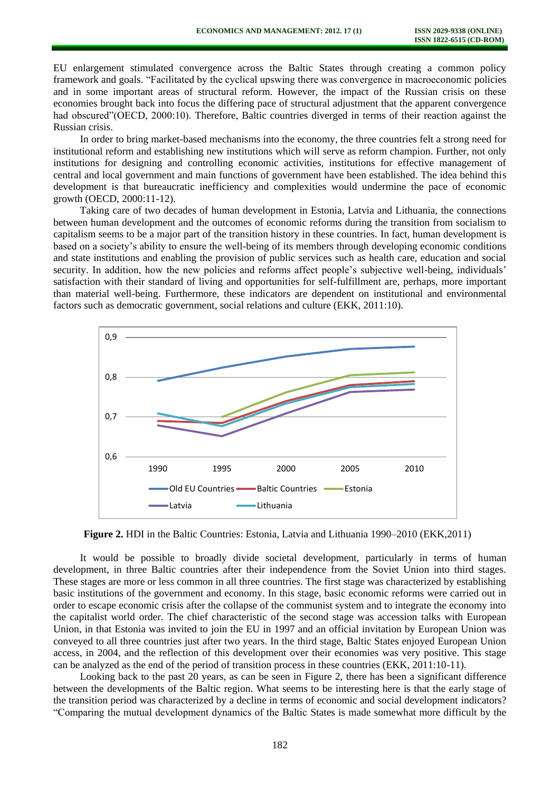EU enlargement stimulated convergence across the Baltic States through creating a common policy framework and goals. "Facilitated by the cyclical upswing there was convergence in macroeconomic policies and in some important areas of structural reform. However, the impact of the Russian crisis on these economies brought back into focus the differing pace of structural adjustment that the apparent convergence had obscured"(OECD, 2000:10). Therefore, Baltic countries diverged in terms of their reaction against the Russian crisis.

In order to bring market-based mechanisms into the economy, the three countries felt a strong need for institutional reform and establishing new institutions which will serve as reform champion. Further, not only institutions for designing and controlling economic activities, institutions for effective management of central and local government and main functions of government have been established. The idea behind this development is that bureaucratic inefficiency and complexities would undermine the pace of economic growth (OECD, 2000:11-12).

Taking care of two decades of human development in Estonia, Latvia and Lithuania, the connections between human development and the outcomes of economic reforms during the transition from socialism to capitalism seems to be a major part of the transition history in these countries. In fact, human development is based on a society's ability to ensure the well-being of its members through developing economic conditions and state institutions and enabling the provision of public services such as health care, education and social security. In addition, how the new policies and reforms affect people's subjective well-being, individuals' satisfaction with their standard of living and opportunities for self-fulfillment are, perhaps, more important than material well-being. Furthermore, these indicators are dependent on institutional and environmental factors such as democratic government, social relations and culture (EKK, 2011:10).



**Figure 2.** HDI in the Baltic Countries: Estonia, Latvia and Lithuania 1990–2010 (EKK,2011)

It would be possible to broadly divide societal development, particularly in terms of human development, in three Baltic countries after their independence from the Soviet Union into third stages. These stages are more or less common in all three countries. The first stage was characterized by establishing basic institutions of the government and economy. In this stage, basic economic reforms were carried out in order to escape economic crisis after the collapse of the communist system and to integrate the economy into the capitalist world order. The chief characteristic of the second stage was accession talks with European Union, in that Estonia was invited to join the EU in 1997 and an official invitation by European Union was conveyed to all three countries just after two years. In the third stage, Baltic States enjoyed European Union access, in 2004, and the reflection of this development over their economies was very positive. This stage can be analyzed as the end of the period of transition process in these countries (EKK, 2011:10-11).

Looking back to the past 20 years, as can be seen in Figure 2, there has been a significant difference between the developments of the Baltic region. What seems to be interesting here is that the early stage of the transition period was characterized by a decline in terms of economic and social development indicators? "Comparing the mutual development dynamics of the Baltic States is made somewhat more difficult by the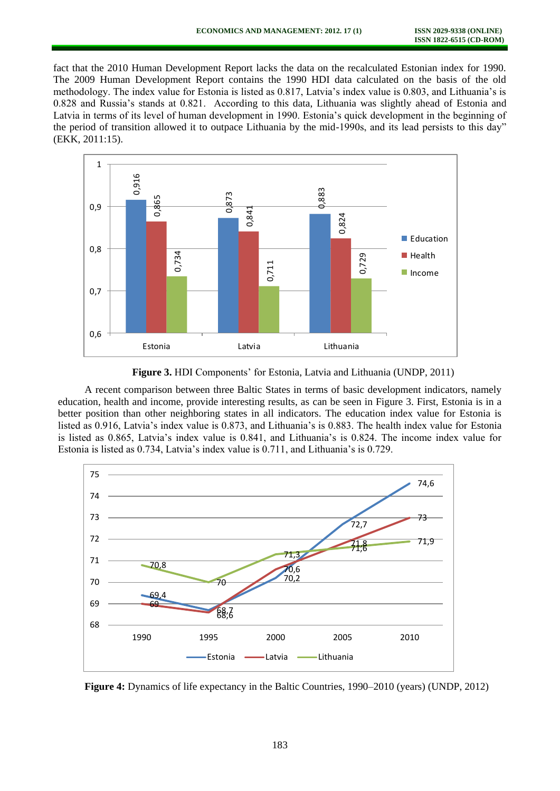fact that the 2010 Human Development Report lacks the data on the recalculated Estonian index for 1990. The 2009 Human Development Report contains the 1990 HDI data calculated on the basis of the old methodology. The index value for Estonia is listed as 0.817, Latvia's index value is 0.803, and Lithuania's is 0.828 and Russia's stands at 0.821. According to this data, Lithuania was slightly ahead of Estonia and Latvia in terms of its level of human development in 1990. Estonia's quick development in the beginning of the period of transition allowed it to outpace Lithuania by the mid-1990s, and its lead persists to this day" (EKK, 2011:15).



**Figure 3.** HDI Components' for Estonia, Latvia and Lithuania (UNDP, 2011)

A recent comparison between three Baltic States in terms of basic development indicators, namely education, health and income, provide interesting results, as can be seen in Figure 3. First, Estonia is in a better position than other neighboring states in all indicators. The education index value for Estonia is listed as 0.916, Latvia's index value is 0.873, and Lithuania's is 0.883. The health index value for Estonia is listed as 0.865, Latvia's index value is 0.841, and Lithuania's is 0.824. The income index value for Estonia is listed as 0.734, Latvia's index value is 0.711, and Lithuania's is 0.729.



**Figure 4:** Dynamics of life expectancy in the Baltic Countries, 1990–2010 (years) (UNDP, 2012)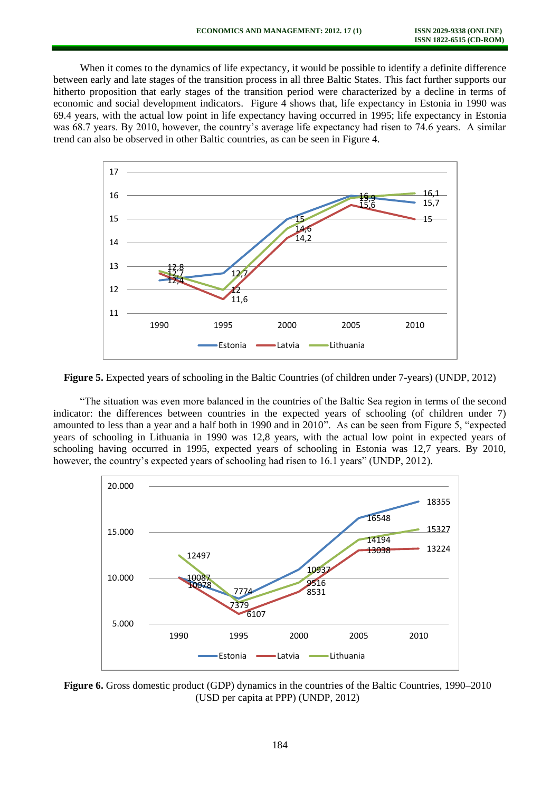When it comes to the dynamics of life expectancy, it would be possible to identify a definite difference between early and late stages of the transition process in all three Baltic States. This fact further supports our hitherto proposition that early stages of the transition period were characterized by a decline in terms of economic and social development indicators. Figure 4 shows that, life expectancy in Estonia in 1990 was 69.4 years, with the actual low point in life expectancy having occurred in 1995; life expectancy in Estonia was 68.7 years. By 2010, however, the country's average life expectancy had risen to 74.6 years. A similar trend can also be observed in other Baltic countries, as can be seen in Figure 4.



**Figure 5.** Expected years of schooling in the Baltic Countries (of children under 7-years) (UNDP, 2012)

"The situation was even more balanced in the countries of the Baltic Sea region in terms of the second indicator: the differences between countries in the expected years of schooling (of children under 7) amounted to less than a year and a half both in 1990 and in 2010". As can be seen from Figure 5, "expected years of schooling in Lithuania in 1990 was 12,8 years, with the actual low point in expected years of schooling having occurred in 1995, expected years of schooling in Estonia was 12,7 years. By 2010, however, the country's expected years of schooling had risen to 16.1 years" (UNDP, 2012).



**Figure 6.** Gross domestic product (GDP) dynamics in the countries of the Baltic Countries, 1990–2010 (USD per capita at PPP) (UNDP, 2012)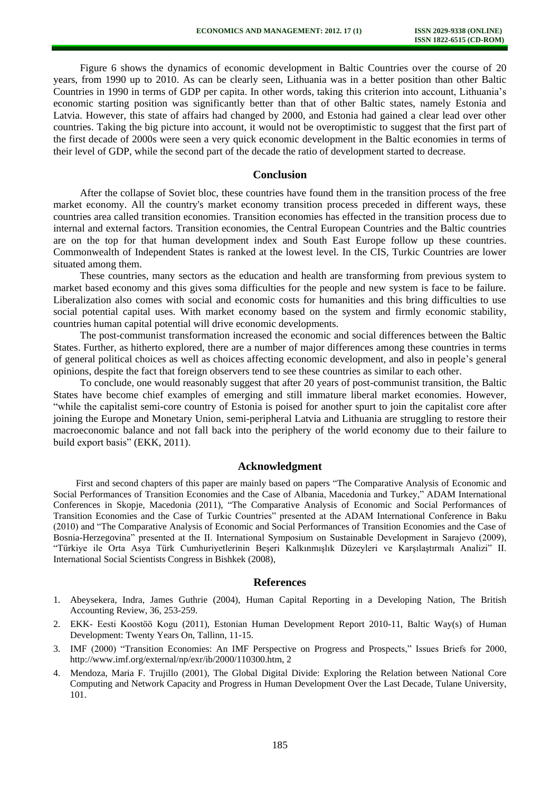Figure 6 shows the dynamics of economic development in Baltic Countries over the course of 20 years, from 1990 up to 2010. As can be clearly seen, Lithuania was in a better position than other Baltic Countries in 1990 in terms of GDP per capita. In other words, taking this criterion into account, Lithuania's economic starting position was significantly better than that of other Baltic states, namely Estonia and Latvia. However, this state of affairs had changed by 2000, and Estonia had gained a clear lead over other countries. Taking the big picture into account, it would not be overoptimistic to suggest that the first part of the first decade of 2000s were seen a very quick economic development in the Baltic economies in terms of their level of GDP, while the second part of the decade the ratio of development started to decrease.

### **Conclusion**

After the collapse of Soviet bloc, these countries have found them in the transition process of the free market economy. All the country's market economy transition process preceded in different ways, these countries area called transition economies. Transition economies has effected in the transition process due to internal and external factors. Transition economies, the Central European Countries and the Baltic countries are on the top for that human development index and South East Europe follow up these countries. Commonwealth of Independent States is ranked at the lowest level. In the CIS, Turkic Countries are lower situated among them.

These countries, many sectors as the education and health are transforming from previous system to market based economy and this gives soma difficulties for the people and new system is face to be failure. Liberalization also comes with social and economic costs for humanities and this bring difficulties to use social potential capital uses. With market economy based on the system and firmly economic stability, countries human capital potential will drive economic developments.

The post-communist transformation increased the economic and social differences between the Baltic States. Further, as hitherto explored, there are a number of major differences among these countries in terms of general political choices as well as choices affecting economic development, and also in people's general opinions, despite the fact that foreign observers tend to see these countries as similar to each other.

To conclude, one would reasonably suggest that after 20 years of post-communist transition, the Baltic States have become chief examples of emerging and still immature liberal market economies. However, "while the capitalist semi-core country of Estonia is poised for another spurt to join the capitalist core after joining the Europe and Monetary Union, semi-peripheral Latvia and Lithuania are struggling to restore their macroeconomic balance and not fall back into the periphery of the world economy due to their failure to build export basis" (EKK, 2011).

#### **Acknowledgment**

First and second chapters of this paper are mainly based on papers "The Comparative Analysis of Economic and Social Performances of Transition Economies and the Case of Albania, Macedonia and Turkey," ADAM International Conferences in Skopje, Macedonia (2011), "The Comparative Analysis of Economic and Social Performances of Transition Economies and the Case of Turkic Countries" presented at the ADAM International Conference in Baku (2010) and "The Comparative Analysis of Economic and Social Performances of Transition Economies and the Case of Bosnia-Herzegovina" presented at the II. International Symposium on Sustainable Development in Sarajevo (2009), "Türkiye ile Orta Asya Türk Cumhuriyetlerinin Beşeri Kalkınmışlık Düzeyleri ve Karşılaştırmalı Analizi" II. International Social Scientists Congress in Bishkek (2008),

#### **References**

- 1. Abeysekera, Indra, James Guthrie (2004), Human Capital Reporting in a Developing Nation, The British Accounting Review, 36, 253-259.
- 2. EKK- Eesti Koostöö Kogu (2011), Estonian Human Development Report 2010-11, Baltic Way(s) of Human Development: Twenty Years On, Tallinn, 11-15.
- 3. IMF (2000) "Transition Economies: An IMF Perspective on Progress and Prospects," Issues Briefs for 2000, [http://www.imf.org/external/np/exr/ib/2000/110300.htm,](http://www.imf.org/external/np/exr/ib/2000/110300.htm) 2
- 4. Mendoza, Maria F. Trujillo (2001), The Global Digital Divide: Exploring the Relation between National Core Computing and Network Capacity and Progress in Human Development Over the Last Decade, Tulane University, 101.